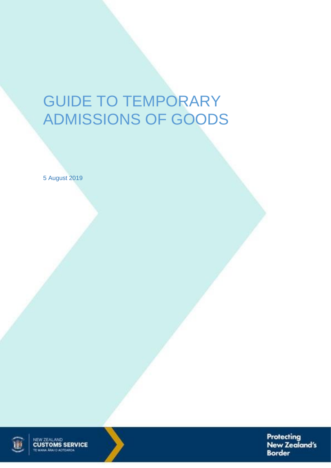# GUIDE TO TEMPORARY ADMISSIONS OF GOODS

5 August 2019



NEW ZEALAND<br>**CUSTOMS SERVICE** 



Protecting New Zealand's **Border**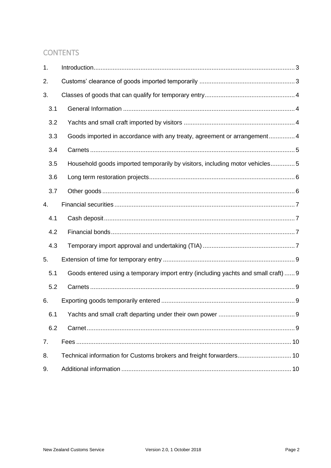# **CONTENTS**

| 1.  |                                                                                    |
|-----|------------------------------------------------------------------------------------|
| 2.  |                                                                                    |
| 3.  |                                                                                    |
| 3.1 |                                                                                    |
| 3.2 |                                                                                    |
| 3.3 | Goods imported in accordance with any treaty, agreement or arrangement 4           |
| 3.4 |                                                                                    |
| 3.5 | Household goods imported temporarily by visitors, including motor vehicles5        |
| 3.6 |                                                                                    |
| 3.7 |                                                                                    |
| 4.  |                                                                                    |
| 4.1 |                                                                                    |
| 4.2 |                                                                                    |
| 4.3 |                                                                                    |
| 5.  |                                                                                    |
| 5.1 | Goods entered using a temporary import entry (including yachts and small craft)  9 |
| 5.2 |                                                                                    |
| 6.  |                                                                                    |
| 6.1 |                                                                                    |
| 6.2 |                                                                                    |
| 7.  |                                                                                    |
| 8.  | Technical information for Customs brokers and freight forwarders 10                |
| 9.  |                                                                                    |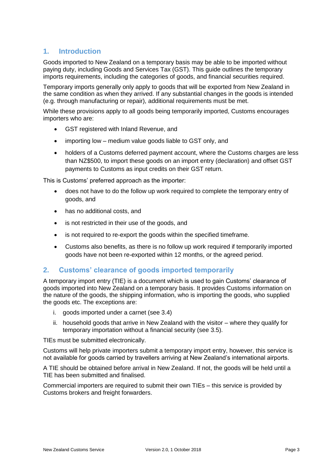## <span id="page-2-0"></span>**1. Introduction**

Goods imported to New Zealand on a temporary basis may be able to be imported without paying duty, including Goods and Services Tax (GST). This guide outlines the temporary imports requirements, including the categories of goods, and financial securities required.

Temporary imports generally only apply to goods that will be exported from New Zealand in the same condition as when they arrived. If any substantial changes in the goods is intended (e.g. through manufacturing or repair), additional requirements must be met.

While these provisions apply to all goods being temporarily imported, Customs encourages importers who are:

- GST registered with Inland Revenue, and
- importing low medium value goods liable to GST only, and
- holders of a Customs deferred payment account, where the Customs charges are less than NZ\$500, to import these goods on an import entry (declaration) and offset GST payments to Customs as input credits on their GST return.

This is Customs' preferred approach as the importer:

- does not have to do the follow up work required to complete the temporary entry of goods, and
- has no additional costs, and
- is not restricted in their use of the goods, and
- is not required to re-export the goods within the specified timeframe.
- Customs also benefits, as there is no follow up work required if temporarily imported goods have not been re-exported within 12 months, or the agreed period.

## <span id="page-2-1"></span>**2. Customs' clearance of goods imported temporarily**

A temporary import entry (TIE) is a document which is used to gain Customs' clearance of goods imported into New Zealand on a temporary basis. It provides Customs information on the nature of the goods, the shipping information, who is importing the goods, who supplied the goods etc. The exceptions are:

- i. goods imported under a carnet (see 3.4)
- ii. household goods that arrive in New Zealand with the visitor where they qualify for temporary importation without a financial security (see 3.5).

TIEs must be submitted electronically.

Customs will help private importers submit a temporary import entry, however, this service is not available for goods carried by travellers arriving at New Zealand's international airports.

A TIE should be obtained before arrival in New Zealand. If not, the goods will be held until a TIE has been submitted and finalised.

Commercial importers are required to submit their own TIEs – this service is provided by Customs brokers and freight forwarders.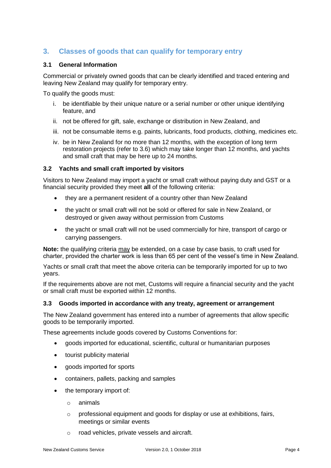## <span id="page-3-0"></span>**3. Classes of goods that can qualify for temporary entry**

#### <span id="page-3-1"></span>**3.1 General Information**

Commercial or privately owned goods that can be clearly identified and traced entering and leaving New Zealand may qualify for temporary entry.

To qualify the goods must:

- i. be identifiable by their unique nature or a serial number or other unique identifying feature, and
- ii. not be offered for gift, sale, exchange or distribution in New Zealand, and
- iii. not be consumable items e.g. paints, lubricants, food products, clothing, medicines etc.
- iv. be in New Zealand for no more than 12 months, with the exception of long term restoration projects (refer to [3.6\)](#page-5-0) which may take longer than 12 months, and yachts and small craft that may be here up to 24 months.

#### <span id="page-3-2"></span>**3.2 Yachts and small craft imported by visitors**

Visitors to New Zealand may import a yacht or small craft without paying duty and GST or a financial security provided they meet **all** of the following criteria:

- they are a permanent resident of a country other than New Zealand
- the yacht or small craft will not be sold or offered for sale in New Zealand, or destroyed or given away without permission from Customs
- the yacht or small craft will not be used commercially for hire, transport of cargo or carrying passengers.

**Note:** the qualifying criteria may be extended, on a case by case basis, to craft used for charter, provided the charter work is less than 65 per cent of the vessel's time in New Zealand.

Yachts or small craft that meet the above criteria can be temporarily imported for up to two years.

If the requirements above are not met, Customs will require a financial security and the yacht or small craft must be exported within 12 months.

#### <span id="page-3-3"></span>**3.3 Goods imported in accordance with any treaty, agreement or arrangement**

The New Zealand government has entered into a number of agreements that allow specific goods to be temporarily imported.

These agreements include goods covered by Customs Conventions for:

- goods imported for educational, scientific, cultural or humanitarian purposes
- tourist publicity material
- aoods imported for sports
- containers, pallets, packing and samples
- the temporary import of:
	- o animals
	- o professional equipment and goods for display or use at exhibitions, fairs, meetings or similar events
	- o road vehicles, private vessels and aircraft.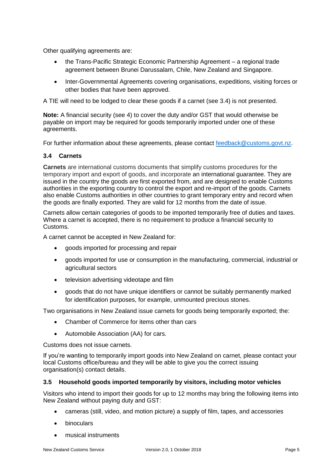Other qualifying agreements are:

- the Trans-Pacific Strategic Economic Partnership Agreement a regional trade agreement between Brunei Darussalam, Chile, New Zealand and Singapore.
- Inter-Governmental Agreements covering organisations, expeditions, visiting forces or other bodies that have been approved.

A TIE will need to be lodged to clear these goods if a carnet (see 3.4) is not presented.

**Note:** A financial security (see 4) to cover the duty and/or GST that would otherwise be payable on import may be required for goods temporarily imported under one of these agreements.

For further information about these agreements, please contact [feedback@customs.govt.nz.](mailto:feedback@customs.govt.nz)

#### <span id="page-4-0"></span>**3.4 Carnets**

**Carnets** are international customs documents that simplify customs procedures for the temporary import and export of goods, and incorporate an international guarantee. They are issued in the country the goods are first exported from, and are designed to enable Customs authorities in the exporting country to control the export and re-import of the goods. Carnets also enable Customs authorities in other countries to grant temporary entry and record when the goods are finally exported. They are valid for 12 months from the date of issue.

Carnets allow certain categories of goods to be imported temporarily free of duties and taxes. Where a carnet is accepted, there is no requirement to produce a financial security to Customs.

A carnet cannot be accepted in New Zealand for:

- goods imported for processing and repair
- goods imported for use or consumption in the manufacturing, commercial, industrial or agricultural sectors
- television advertising videotape and film
- goods that do not have unique identifiers or cannot be suitably permanently marked for identification purposes, for example, unmounted precious stones.

Two organisations in New Zealand issue carnets for goods being temporarily exported; the:

- Chamber of Commerce for items other than cars
- Automobile Association (AA) for cars.

Customs does not issue carnets.

If you're wanting to temporarily import goods into New Zealand on carnet, please contact your local Customs office/bureau and they will be able to give you the correct issuing organisation(s) contact details.

#### <span id="page-4-1"></span>**3.5 Household goods imported temporarily by visitors, including motor vehicles**

Visitors who intend to import their goods for up to 12 months may bring the following items into New Zealand without paying duty and GST:

- cameras (still, video, and motion picture) a supply of film, tapes, and accessories
- binoculars
- musical instruments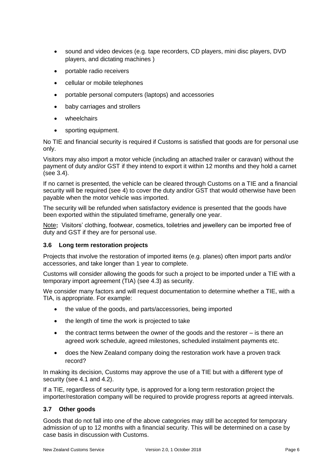- sound and video devices (e.g. tape recorders, CD players, mini disc players, DVD players, and dictating machines )
- portable radio receivers
- cellular or mobile telephones
- portable personal computers (laptops) and accessories
- baby carriages and strollers
- wheelchairs
- sporting equipment.

No TIE and financial security is required if Customs is satisfied that goods are for personal use only.

Visitors may also import a motor vehicle (including an attached trailer or caravan) without the payment of duty and/or GST if they intend to export it within 12 months and they hold a carnet (see 3.4).

If no carnet is presented, the vehicle can be cleared through Customs on a TIE and a financial security will be required (see 4) to cover the duty and/or GST that would otherwise have been payable when the motor vehicle was imported.

The security will be refunded when satisfactory evidence is presented that the goods have been exported within the stipulated timeframe, generally one year.

Note**:** Visitors' clothing, footwear, cosmetics, toiletries and jewellery can be imported free of duty and GST if they are for personal use.

#### <span id="page-5-0"></span>**3.6 Long term restoration projects**

Projects that involve the restoration of imported items (e.g. planes) often import parts and/or accessories, and take longer than 1 year to complete.

Customs will consider allowing the goods for such a project to be imported under a TIE with a temporary import agreement (TIA) (see 4.3) as security.

We consider many factors and will request documentation to determine whether a TIE, with a TIA, is appropriate. For example:

- the value of the goods, and parts/accessories, being imported
- the length of time the work is projected to take
- the contract terms between the owner of the goods and the restorer is there an agreed work schedule, agreed milestones, scheduled instalment payments etc.
- does the New Zealand company doing the restoration work have a proven track record?

In making its decision, Customs may approve the use of a TIE but with a different type of security (see 4.1 and 4.2).

If a TIE, regardless of security type, is approved for a long term restoration project the importer/restoration company will be required to provide progress reports at agreed intervals.

#### <span id="page-5-1"></span>**3.7 Other goods**

Goods that do not fall into one of the above categories may still be accepted for temporary admission of up to 12 months with a financial security. This will be determined on a case by case basis in discussion with Customs.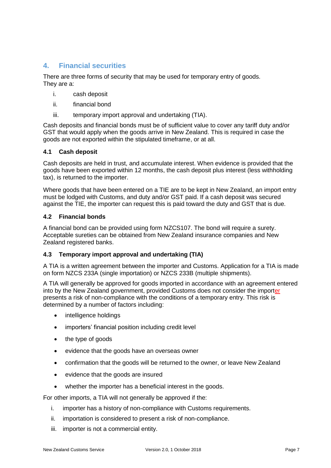## <span id="page-6-0"></span>**4. Financial securities**

There are three forms of security that may be used for temporary entry of goods. They are a:

- i. cash deposit
- ii. financial bond
- iii. temporary import approval and undertaking (TIA).

Cash deposits and financial bonds must be of sufficient value to cover any tariff duty and/or GST that would apply when the goods arrive in New Zealand. This is required in case the goods are not exported within the stipulated timeframe, or at all.

#### <span id="page-6-1"></span>**4.1 Cash deposit**

Cash deposits are held in trust, and accumulate interest. When evidence is provided that the goods have been exported within 12 months, the cash deposit plus interest (less withholding tax), is returned to the importer.

Where goods that have been entered on a TIE are to be kept in New Zealand, an import entry must be lodged with Customs, and duty and/or GST paid. If a cash deposit was secured against the TIE, the importer can request this is paid toward the duty and GST that is due.

#### <span id="page-6-2"></span>**4.2 Financial bonds**

A financial bond can be provided using form NZCS107. The bond will require a surety. Acceptable sureties can be obtained from New Zealand insurance companies and New Zealand registered banks.

#### <span id="page-6-3"></span>**4.3 Temporary import approval and undertaking (TIA)**

A TIA is a written agreement between the importer and Customs. Application for a TIA is made on form NZCS 233A (single importation) or NZCS 233B (multiple shipments).

A TIA will generally be approved for goods imported in accordance with an agreement entered into by the New Zealand government, provided Customs does not consider the importer presents a risk of non-compliance with the conditions of a temporary entry. This risk is determined by a number of factors including:

- intelligence holdings
- importers' financial position including credit level
- the type of goods
- evidence that the goods have an overseas owner
- confirmation that the goods will be returned to the owner, or leave New Zealand
- evidence that the goods are insured
- whether the importer has a beneficial interest in the goods.

For other imports, a TIA will not generally be approved if the:

- i. importer has a history of non-compliance with Customs requirements.
- ii. importation is considered to present a risk of non-compliance.
- iii. importer is not a commercial entity.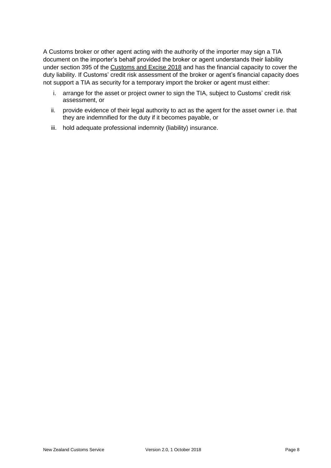A Customs broker or other agent acting with the authority of the importer may sign a TIA document on the importer's behalf provided the broker or agent understands their liability under [section 395](http://www.legislation.govt.nz/act/public/2018/0004/latest/DLM7039872.html) of the Customs and Excise 2018 and has the financial capacity to cover the duty liability. If Customs' credit risk assessment of the broker or agent's financial capacity does not support a TIA as security for a temporary import the broker or agent must either:

- i. arrange for the asset or project owner to sign the TIA, subject to Customs' credit risk assessment, or
- ii. provide evidence of their legal authority to act as the agent for the asset owner i.e. that they are indemnified for the duty if it becomes payable, or
- iii. hold adequate professional indemnity (liability) insurance.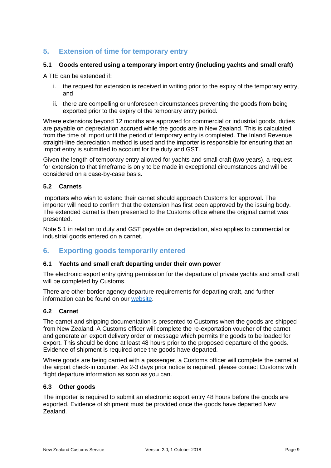## <span id="page-8-0"></span>**5. Extension of time for temporary entry**

#### <span id="page-8-1"></span>**5.1 Goods entered using a temporary import entry (including yachts and small craft)**

A TIE can be extended if:

- i. the request for extension is received in writing prior to the expiry of the temporary entry, and
- ii. there are compelling or unforeseen circumstances preventing the goods from being exported prior to the expiry of the temporary entry period.

Where extensions beyond 12 months are approved for commercial or industrial goods, duties are payable on depreciation accrued while the goods are in New Zealand. This is calculated from the time of import until the period of temporary entry is completed. The Inland Revenue straight-line depreciation method is used and the importer is responsible for ensuring that an Import entry is submitted to account for the duty and GST.

Given the length of temporary entry allowed for yachts and small craft (two years), a request for extension to that timeframe is only to be made in exceptional circumstances and will be considered on a case-by-case basis.

#### <span id="page-8-2"></span>**5.2 Carnets**

Importers who wish to extend their carnet should approach Customs for approval. The importer will need to confirm that the extension has first been approved by the issuing body. The extended carnet is then presented to the Customs office where the original carnet was presented.

Note 5.1 in relation to duty and GST payable on depreciation, also applies to commercial or industrial goods entered on a carnet.

## <span id="page-8-3"></span>**6. Exporting goods temporarily entered**

#### <span id="page-8-4"></span>**6.1 Yachts and small craft departing under their own power**

The electronic export entry giving permission for the departure of private yachts and small craft will be completed by Customs.

There are other border agency departure requirements for departing craft, and further information can be found on our [website.](https://www.customs.govt.nz/personal/travel-to-and-from-nz/travelling-to-nz/)

#### <span id="page-8-5"></span>**6.2 Carnet**

The carnet and shipping documentation is presented to Customs when the goods are shipped from New Zealand. A Customs officer will complete the re-exportation voucher of the carnet and generate an export delivery order or message which permits the goods to be loaded for export. This should be done at least 48 hours prior to the proposed departure of the goods. Evidence of shipment is required once the goods have departed.

Where goods are being carried with a passenger, a Customs officer will complete the carnet at the airport check-in counter. As 2-3 days prior notice is required, please contact Customs with flight departure information as soon as you can.

#### **6.3 Other goods**

The importer is required to submit an electronic export entry 48 hours before the goods are exported. Evidence of shipment must be provided once the goods have departed New Zealand.